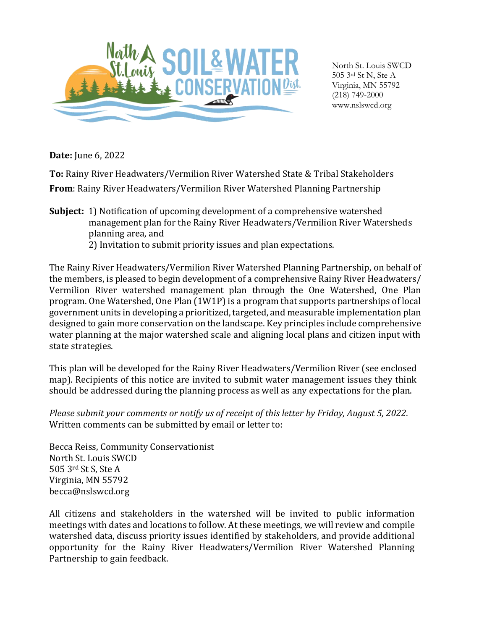

North St. Louis SWCD 505 3rd St N, Ste A Virginia, MN 55792 (218) 749-2000 www.nslswcd.org

**Date:** June 6, 2022

**To:** Rainy River Headwaters/Vermilion River Watershed State & Tribal Stakeholders **From**: Rainy River Headwaters/Vermilion River Watershed Planning Partnership

**Subject:** 1) Notification of upcoming development of a comprehensive watershed management plan for the Rainy River Headwaters/Vermilion River Watersheds planning area, and 2) Invitation to submit priority issues and plan expectations.

The Rainy River Headwaters/Vermilion River Watershed Planning Partnership, on behalf of the members, is pleased to begin development of a comprehensive Rainy River Headwaters/ Vermilion River watershed management plan through the One Watershed, One Plan program. One Watershed, One Plan (1W1P) is a program that supports partnerships of local government units in developing a prioritized, targeted, and measurable implementation plan designed to gain more conservation on the landscape. Key principles include comprehensive water planning at the major watershed scale and aligning local plans and citizen input with state strategies.

This plan will be developed for the Rainy River Headwaters/Vermilion River (see enclosed map). Recipients of this notice are invited to submit water management issues they think should be addressed during the planning process as well as any expectations for the plan.

*Please submit your comments or notify us of receipt of this letter by Friday, August 5, 2022*. Written comments can be submitted by email or letter to:

Becca Reiss, Community Conservationist North St. Louis SWCD 505 3rd St S, Ste A Virginia, MN 55792 [becca@nslswcd.org](mailto:melanie.bomier@carltonswcd.org)

All citizens and stakeholders in the watershed will be invited to public information meetings with dates and locations to follow. At these meetings, we will review and compile watershed data, discuss priority issues identified by stakeholders, and provide additional opportunity for the Rainy River Headwaters/Vermilion River Watershed Planning Partnership to gain feedback.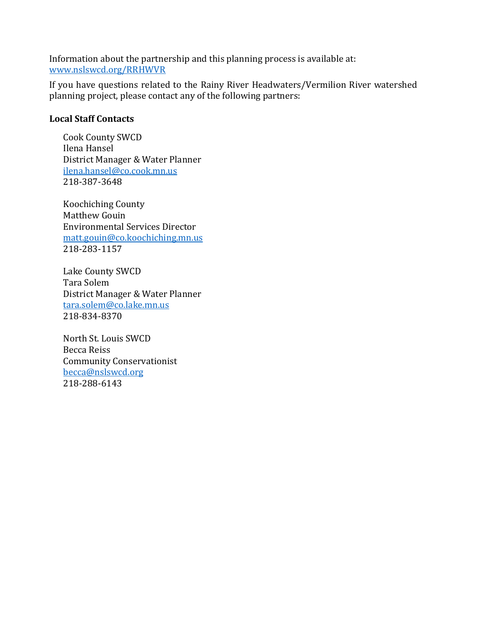Information about the partnership and this planning process is available at: [www.nslswcd.org/RRHWVR](file:///C:/Users/becca/Desktop/www.nslswcd.org/RRHWVR)

If you have questions related to the Rainy River Headwaters/Vermilion River watershed planning project, please contact any of the following partners:

## **Local Staff Contacts**

Cook County SWCD Ilena Hansel District Manager & Water Planner [ilena.hansel@co.cook.mn.us](mailto:ilena.hansel@co.cook.mn.us) 218-387-3648

Koochiching County Matthew Gouin Environmental Services Director [matt.gouin@co.koochiching.mn.us](mailto:matt.gouin@co.koochiching.mn.us) 218-283-1157

Lake County SWCD Tara Solem District Manager & Water Planner [tara.solem@co.lake.mn.us](mailto:tara.solem@co.lake.mn.us) 218-834-8370

North St. Louis SWCD Becca Reiss Community Conservationist [becca@nslswcd.org](mailto:becca@nslswcd.org) 218-288-6143